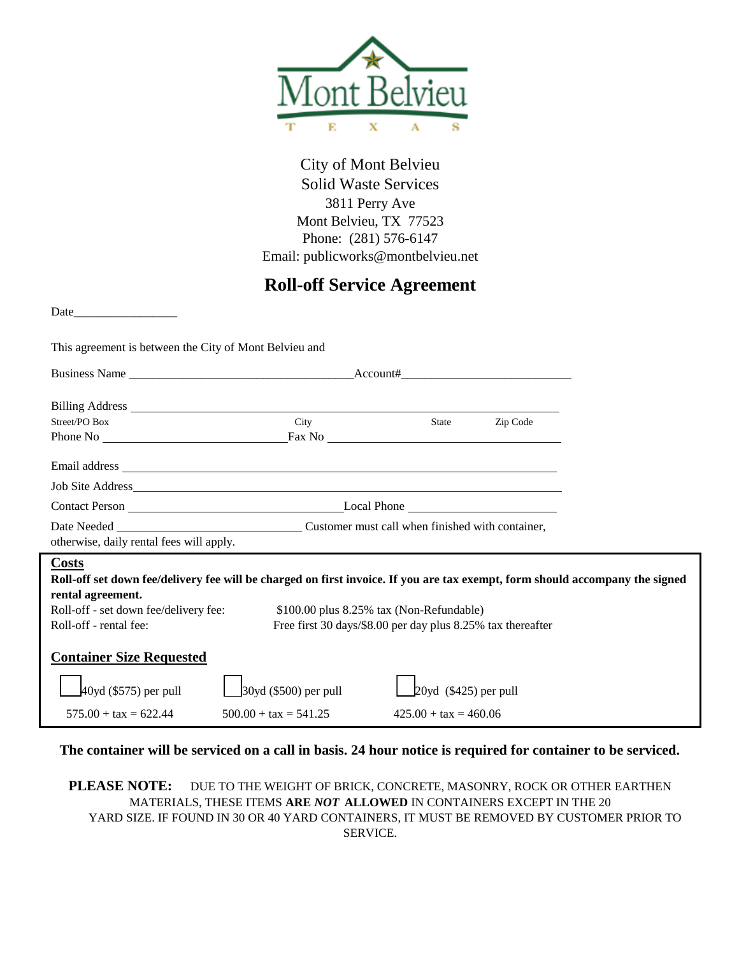

City of Mont Belvieu Solid Waste Services 3811 Perry Ave Mont Belvieu, TX 77523 Phone: (281) 576-6147 Email: publicworks@montbelvieu.net

## **Roll-off Service Agreement**

Date\_\_\_\_\_\_\_\_\_\_\_\_\_\_\_\_\_

This agreement is between the City of Mont Belvieu and

| Street/PO Box                                                                                                                                                                                                                                                                                                         | City                           | State                          | Zip Code |  |
|-----------------------------------------------------------------------------------------------------------------------------------------------------------------------------------------------------------------------------------------------------------------------------------------------------------------------|--------------------------------|--------------------------------|----------|--|
|                                                                                                                                                                                                                                                                                                                       |                                |                                |          |  |
|                                                                                                                                                                                                                                                                                                                       |                                |                                |          |  |
|                                                                                                                                                                                                                                                                                                                       |                                |                                |          |  |
|                                                                                                                                                                                                                                                                                                                       |                                |                                |          |  |
| Date Needed Customer must call when finished with container,<br>otherwise, daily rental fees will apply.                                                                                                                                                                                                              |                                |                                |          |  |
| <b>Costs</b><br>Roll-off set down fee/delivery fee will be charged on first invoice. If you are tax exempt, form should accompany the signed<br>rental agreement.<br>Roll-off - set down fee/delivery fee:<br>\$100.00 plus 8.25% tax (Non-Refundable)<br>Free first 30 days/\$8.00 per day plus 8.25% tax thereafter |                                |                                |          |  |
| Roll-off - rental fee:                                                                                                                                                                                                                                                                                                |                                |                                |          |  |
| <b>Container Size Requested</b>                                                                                                                                                                                                                                                                                       |                                |                                |          |  |
| $40yd$ (\$575) per pull                                                                                                                                                                                                                                                                                               | $30yd$ (\$500) per pull        | $20yd$ (\$425) per pull        |          |  |
| $575.00 + \text{tax} = 622.44$                                                                                                                                                                                                                                                                                        | $500.00 + \text{tax} = 541.25$ | $425.00 + \text{tax} = 460.06$ |          |  |

**The container will be serviced on a call in basis. 24 hour notice is required for container to be serviced.** 

**PLEASE NOTE:** DUE TO THE WEIGHT OF BRICK, CONCRETE, MASONRY, ROCK OR OTHER EARTHEN MATERIALS, THESE ITEMS **ARE** *NOT* **ALLOWED** IN CONTAINERS EXCEPT IN THE 20 YARD SIZE. IF FOUND IN 30 OR 40 YARD CONTAINERS, IT MUST BE REMOVED BY CUSTOMER PRIOR TO SERVICE.